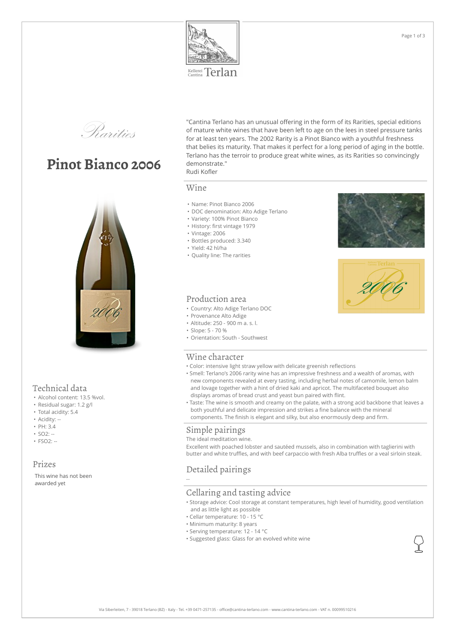

Kellerei Terlan



# **Pinot Bianco 2006**



## Technical data

- Alcohol content: 13.5 %vol.
- Residual sugar: 1.2 g/l
- Total acidity: 5.4
- Acidity: --
- PH: 3.4
- $SO2: -$
- $\cdot$  FSO<sub>2</sub> $\cdot$  --

## Prizes

This wine has not been awarded yet

"Cantina Terlano has an unusual offering in the form of its Rarities, special editions<br>of mature white wines that have been left to age on the lees in steel pressure tanks<br>for at least ten years. The 2002 Rarity is a Pinot of mature white wines that have been left to age on the lees in steel pressure tanks for at least ten years. The 2002 Rarity is a Pinot Bianco with a youthful freshness that belies its maturity. That makes it perfect for a long period of aging in the bottle. Terlano has the terroir to produce great white wines, as its Rarities so convincingly demonstrate."

# Rudi Kofler

### Wine

- Name: Pinot Bianco 2006
- DOC denomination: Alto Adige Terlano
- Variety: 100% Pinot Bianco
- History: first vintage 1979
- Vintage: 2006
- Bottles produced: 3.340
- Yield: 42 hl/ha
- Quality line: The rarities





## Production area

- Country: Alto Adige Terlano DOC
- Provenance Alto Adige
- Altitude: 250 900 m a. s. l.
- Slope: 5 70 %
- Orientation: South Southwest

#### Wine character

- Color: intensive light straw yellow with delicate greenish reflections
- Smell: Terlano's 2006 rarity wine has an impressive freshness and a wealth of aromas, with new components revealed at every tasting, including herbal notes of camomile, lemon balm and lovage together with a hint of dried kaki and apricot. The multifaceted bouquet also displays aromas of bread crust and yeast bun paired with flint.
- Taste: The wine is smooth and creamy on the palate, with a strong acid backbone that leaves a both youthful and delicate impression and strikes a fine balance with the mineral components. The finish is elegant and silky, but also enormously deep and firm.

#### Simple pairings

The ideal meditation wine. Excellent with poached lobster and sautéed mussels, also in combination with taglierini with butter and white truffles, and with beef carpaccio with fresh Alba truffles or a veal sirloin steak.

# Detailed pairings

--

#### Cellaring and tasting advice

- Storage advice: Cool storage at constant temperatures, high level of humidity, good ventilation and as little light as possible
- Cellar temperature: 10 15 °C
- Minimum maturity: 8 years
- Serving temperature: 12 14 °C
- Suggested glass: Glass for an evolved white wine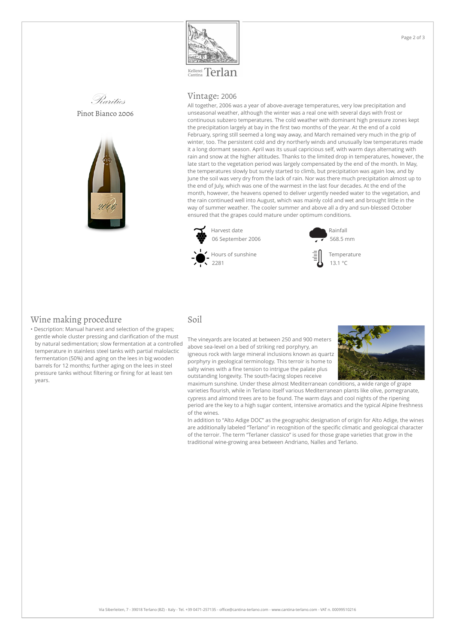

Kellerei Terlan





#### Vintage: 2006

All together, 2006 was a year of above-average temperatures, very low precipitation and unseasonal weather, although the winter was a real one with several days with frost or continuous subzero temperatures. The cold weather with dominant high pressure zones kept the precipitation largely at bay in the first two months of the year. At the end of a cold February, spring still seemed a long way away, and March remained very much in the grip of winter, too. The persistent cold and dry northerly winds and unusually low temperatures made it a long dormant season. April was its usual capricious self, with warm days alternating with rain and snow at the higher altitudes. Thanks to the limited drop in temperatures, however, the late start to the vegetation period was largely compensated by the end of the month. In May, the temperatures slowly but surely started to climb, but precipitation was again low, and by June the soil was very dry from the lack of rain. Nor was there much precipitation almost up to the end of July, which was one of the warmest in the last four decades. At the end of the month, however, the heavens opened to deliver urgently needed water to the vegetation, and the rain continued well into August, which was mainly cold and wet and brought little in the way of summer weather. The cooler summer and above all a dry and sun-blessed October ensured that the grapes could mature under optimum conditions.



Rainfall 568.5 mm



#### Wine making procedure

• Description: Manual harvest and selection of the grapes; gentle whole cluster pressing and clarification of the must by natural sedimentation; slow fermentation at a controlled temperature in stainless steel tanks with partial malolactic fermentation (50%) and aging on the lees in big wooden barrels for 12 months; further aging on the lees in steel pressure tanks without filtering or fining for at least ten years.

#### Soil

The vineyards are located at between 250 and 900 meters above sea-level on a bed of striking red porphyry, an igneous rock with large mineral inclusions known as quartz porphyry in geological terminology. This terroir is home to salty wines with a fine tension to intrigue the palate plus outstanding longevity. The south-facing slopes receive



maximum sunshine. Under these almost Mediterranean conditions, a wide range of grape varieties flourish, while in Terlano itself various Mediterranean plants like olive, pomegranate, cypress and almond trees are to be found. The warm days and cool nights of the ripening period are the key to a high sugar content, intensive aromatics and the typical Alpine freshness of the wines.

In addition to "Alto Adige DOC" as the geographic designation of origin for Alto Adige, the wines are additionally labeled "Terlano" in recognition of the specific climatic and geological character of the terroir. The term "Terlaner classico" is used for those grape varieties that grow in the traditional wine-growing area between Andriano, Nalles and Terlano.